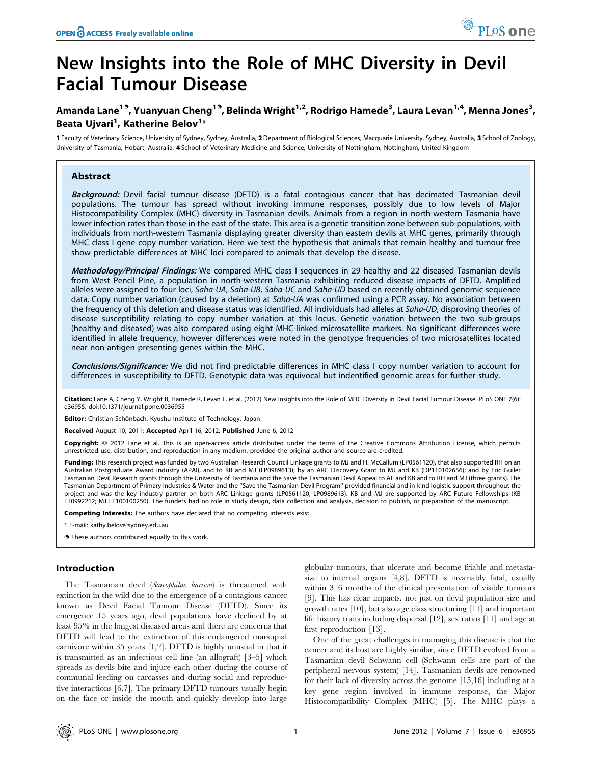# New Insights into the Role of MHC Diversity in Devil Facial Tumour Disease

# Amanda Lane<sup>19</sup>, Yuanyuan Cheng<sup>19</sup>, Belinda Wright<sup>1,2</sup>, Rodrigo Hamede<sup>3</sup>, Laura Levan<sup>1,4</sup>, Menna Jones<sup>3</sup>, Beata Ujvari<sup>1</sup>, Katherine Belov<sup>1</sup>\*

1 Faculty of Veterinary Science, University of Sydney, Sydney, Australia, 2Department of Biological Sciences, Macquarie University, Sydney, Australia, 3 School of Zoology, University of Tasmania, Hobart, Australia, 4 School of Veterinary Medicine and Science, University of Nottingham, Nottingham, United Kingdom

# Abstract

Background: Devil facial tumour disease (DFTD) is a fatal contagious cancer that has decimated Tasmanian devil populations. The tumour has spread without invoking immune responses, possibly due to low levels of Major Histocompatibility Complex (MHC) diversity in Tasmanian devils. Animals from a region in north-western Tasmania have lower infection rates than those in the east of the state. This area is a genetic transition zone between sub-populations, with individuals from north-western Tasmania displaying greater diversity than eastern devils at MHC genes, primarily through MHC class I gene copy number variation. Here we test the hypothesis that animals that remain healthy and tumour free show predictable differences at MHC loci compared to animals that develop the disease.

Methodology/Principal Findings: We compared MHC class I sequences in 29 healthy and 22 diseased Tasmanian devils from West Pencil Pine, a population in north-western Tasmania exhibiting reduced disease impacts of DFTD. Amplified alleles were assigned to four loci, Saha-UA, Saha-UB, Saha-UC and Saha-UD based on recently obtained genomic sequence data. Copy number variation (caused by a deletion) at Saha-UA was confirmed using a PCR assay. No association between the frequency of this deletion and disease status was identified. All individuals had alleles at Saha-UD, disproving theories of disease susceptibility relating to copy number variation at this locus. Genetic variation between the two sub-groups (healthy and diseased) was also compared using eight MHC-linked microsatellite markers. No significant differences were identified in allele frequency, however differences were noted in the genotype frequencies of two microsatellites located near non-antigen presenting genes within the MHC.

Conclusions/Significance: We did not find predictable differences in MHC class I copy number variation to account for differences in susceptibility to DFTD. Genotypic data was equivocal but indentified genomic areas for further study.

Citation: Lane A, Cheng Y, Wright B, Hamede R, Levan L, et al. (2012) New Insights into the Role of MHC Diversity in Devil Facial Tumour Disease. PLoS ONE 7(6): e36955. doi:10.1371/journal.pone.0036955

Editor: Christian Schönbach, Kyushu Institute of Technology, Japan

Received August 10, 2011; Accepted April 16, 2012; Published June 6, 2012

Copyright: © 2012 Lane et al. This is an open-access article distributed under the terms of the Creative Commons Attribution License, which permits unrestricted use, distribution, and reproduction in any medium, provided the original author and source are credited.

Funding: This research project was funded by two Australian Research Council Linkage grants to MJ and H. McCallum (LP0561120), that also supported RH on an Australian Postgraduate Award Industry (APAI), and to KB and MJ (LP0989613); by an ARC Discovery Grant to MJ and KB (DP110102656); and by Eric Guiler Tasmanian Devil Research grants through the University of Tasmania and the Save the Tasmanian Devil Appeal to AL and KB and to RH and MJ (three grants). The Tasmanian Department of Primary Industries & Water and the ''Save the Tasmanian Devil Program'' provided financial and in-kind logistic support throughout the project and was the key industry partner on both ARC Linkage grants (LP0561120, LP0989613). KB and MJ are supported by ARC Future Fellowships (KB FT0992212; MJ FT100100250). The funders had no role in study design, data collection and analysis, decision to publish, or preparation of the manuscript.

Competing Interests: The authors have declared that no competing interests exist.

\* E-mail: kathy.belov@sydney.edu.au

**.** These authors contributed equally to this work.

# Introduction

The Tasmanian devil (Sarcophilus harrisii) is threatened with extinction in the wild due to the emergence of a contagious cancer known as Devil Facial Tumour Disease (DFTD). Since its emergence 15 years ago, devil populations have declined by at least 95% in the longest diseased areas and there are concerns that DFTD will lead to the extinction of this endangered marsupial carnivore within 35 years [1,2]. DFTD is highly unusual in that it is transmitted as an infectious cell line (an allograft) [3–5] which spreads as devils bite and injure each other during the course of communal feeding on carcasses and during social and reproductive interactions [6,7]. The primary DFTD tumours usually begin on the face or inside the mouth and quickly develop into large

globular tumours, that ulcerate and become friable and metastasize to internal organs [4,8]. DFTD is invariably fatal, usually within 3–6 months of the clinical presentation of visible tumours [9]. This has clear impacts, not just on devil population size and growth rates [10], but also age class structuring [11] and important life history traits including dispersal [12], sex ratios [11] and age at first reproduction [13].

One of the great challenges in managing this disease is that the cancer and its host are highly similar, since DFTD evolved from a Tasmanian devil Schwann cell (Schwann cells are part of the peripheral nervous system) [14]. Tasmanian devils are renowned for their lack of diversity across the genome [15,16] including at a key gene region involved in immune response, the Major Histocompatibility Complex (MHC) [5]. The MHC plays a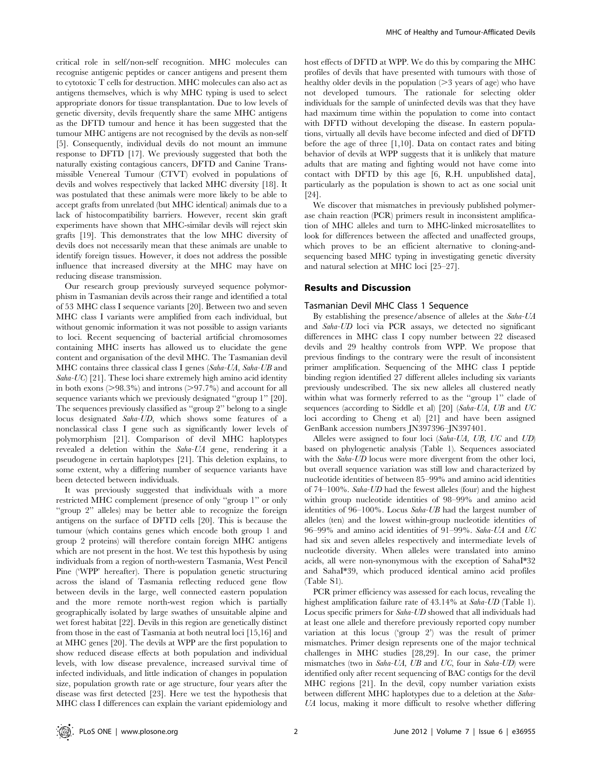critical role in self/non-self recognition. MHC molecules can recognise antigenic peptides or cancer antigens and present them to cytotoxic T cells for destruction. MHC molecules can also act as antigens themselves, which is why MHC typing is used to select appropriate donors for tissue transplantation. Due to low levels of genetic diversity, devils frequently share the same MHC antigens as the DFTD tumour and hence it has been suggested that the tumour MHC antigens are not recognised by the devils as non-self [5]. Consequently, individual devils do not mount an immune response to DFTD [17]. We previously suggested that both the naturally existing contagious cancers, DFTD and Canine Transmissible Venereal Tumour (CTVT) evolved in populations of devils and wolves respectively that lacked MHC diversity [18]. It was postulated that these animals were more likely to be able to accept grafts from unrelated (but MHC identical) animals due to a lack of histocompatibility barriers. However, recent skin graft experiments have shown that MHC-similar devils will reject skin grafts [19]. This demonstrates that the low MHC diversity of devils does not necessarily mean that these animals are unable to identify foreign tissues. However, it does not address the possible influence that increased diversity at the MHC may have on reducing disease transmission.

Our research group previously surveyed sequence polymorphism in Tasmanian devils across their range and identified a total of 53 MHC class I sequence variants [20]. Between two and seven MHC class I variants were amplified from each individual, but without genomic information it was not possible to assign variants to loci. Recent sequencing of bacterial artificial chromosomes containing MHC inserts has allowed us to elucidate the gene content and organisation of the devil MHC. The Tasmanian devil MHC contains three classical class I genes (Saha-UA, Saha-UB and Saha-UC) [21]. These loci share extremely high amino acid identity in both exons  $(>98.3\%)$  and introns  $(>97.7\%)$  and account for all sequence variants which we previously designated ''group 1'' [20]. The sequences previously classified as ''group 2'' belong to a single locus designated Saha-UD, which shows some features of a nonclassical class I gene such as significantly lower levels of polymorphism [21]. Comparison of devil MHC haplotypes revealed a deletion within the Saha-UA gene, rendering it a pseudogene in certain haplotypes [21]. This deletion explains, to some extent, why a differing number of sequence variants have been detected between individuals.

It was previously suggested that individuals with a more restricted MHC complement (presence of only ''group 1'' or only ''group 2'' alleles) may be better able to recognize the foreign antigens on the surface of DFTD cells [20]. This is because the tumour (which contains genes which encode both group 1 and group 2 proteins) will therefore contain foreign MHC antigens which are not present in the host. We test this hypothesis by using individuals from a region of north-western Tasmania, West Pencil Pine ('WPP' hereafter). There is population genetic structuring across the island of Tasmania reflecting reduced gene flow between devils in the large, well connected eastern population and the more remote north-west region which is partially geographically isolated by large swathes of unsuitable alpine and wet forest habitat [22]. Devils in this region are genetically distinct from those in the east of Tasmania at both neutral loci [15,16] and at MHC genes [20]. The devils at WPP are the first population to show reduced disease effects at both population and individual levels, with low disease prevalence, increased survival time of infected individuals, and little indication of changes in population size, population growth rate or age structure, four years after the disease was first detected [23]. Here we test the hypothesis that MHC class I differences can explain the variant epidemiology and host effects of DFTD at WPP. We do this by comparing the MHC profiles of devils that have presented with tumours with those of healthy older devils in the population  $(>= 3$  years of age) who have not developed tumours. The rationale for selecting older individuals for the sample of uninfected devils was that they have had maximum time within the population to come into contact with DFTD without developing the disease. In eastern populations, virtually all devils have become infected and died of DFTD before the age of three [1,10]. Data on contact rates and biting behavior of devils at WPP suggests that it is unlikely that mature adults that are mating and fighting would not have come into contact with DFTD by this age [6, R.H. unpublished data], particularly as the population is shown to act as one social unit [24].

We discover that mismatches in previously published polymerase chain reaction (PCR) primers result in inconsistent amplification of MHC alleles and turn to MHC-linked microsatellites to look for differences between the affected and unaffected groups, which proves to be an efficient alternative to cloning-andsequencing based MHC typing in investigating genetic diversity and natural selection at MHC loci [25–27].

# Results and Discussion

# Tasmanian Devil MHC Class 1 Sequence

By establishing the presence/absence of alleles at the Saha-UA and Saha-UD loci via PCR assays, we detected no significant differences in MHC class I copy number between 22 diseased devils and 29 healthy controls from WPP. We propose that previous findings to the contrary were the result of inconsistent primer amplification. Sequencing of the MHC class I peptide binding region identified 27 different alleles including six variants previously undescribed. The six new alleles all clustered neatly within what was formerly referred to as the "group 1" clade of sequences (according to Siddle et al) [20] (Saha-UA, UB and UC loci according to Cheng et al) [21] and have been assigned GenBank accession numbers JN397396–JN397401.

Alleles were assigned to four loci (Saha-UA, UB, UC and UD) based on phylogenetic analysis (Table 1). Sequences associated with the *Saha-UD* locus were more divergent from the other loci, but overall sequence variation was still low and characterized by nucleotide identities of between 85–99% and amino acid identities of 74–100%. Saha-UD had the fewest alleles (four) and the highest within group nucleotide identities of 98–99% and amino acid identities of 96–100%. Locus Saha-UB had the largest number of alleles (ten) and the lowest within-group nucleotide identities of 96–99% and amino acid identities of 91–99%. Saha-UA and UC had six and seven alleles respectively and intermediate levels of nucleotide diversity. When alleles were translated into amino acids, all were non-synonymous with the exception of SahaI\*32 and SahaI\*39, which produced identical amino acid profiles (Table S1).

PCR primer efficiency was assessed for each locus, revealing the highest amplification failure rate of 43.14% at Saha-UD (Table 1). Locus specific primers for Saha-UD showed that all individuals had at least one allele and therefore previously reported copy number variation at this locus ('group 2') was the result of primer mismatches. Primer design represents one of the major technical challenges in MHC studies [28,29]. In our case, the primer mismatches (two in Saha-UA, UB and UC, four in Saha-UD) were identified only after recent sequencing of BAC contigs for the devil MHC regions [21]. In the devil, copy number variation exists between different MHC haplotypes due to a deletion at the Saha-UA locus, making it more difficult to resolve whether differing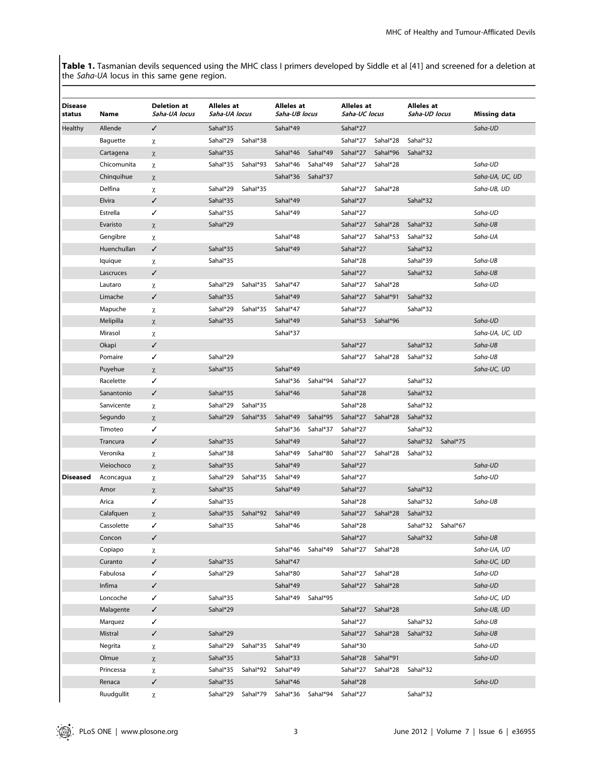Table 1. Tasmanian devils sequenced using the MHC class I primers developed by Siddle et al [41] and screened for a deletion at the Saha-UA locus in this same gene region.

| Disease<br>status | Name        | <b>Deletion at</b><br>Saha-UA locus | Alleles at<br>Saha-UA locus |          | Alleles at<br>Saha-UB locus |                   | Alleles at<br>Saha-UC locus |                   | <b>Alleles</b> at<br>Saha-UD locus |                   | <b>Missing data</b> |
|-------------------|-------------|-------------------------------------|-----------------------------|----------|-----------------------------|-------------------|-----------------------------|-------------------|------------------------------------|-------------------|---------------------|
| Healthy           | Allende     | ✓                                   | Sahal*35                    |          | Sahal*49                    |                   | Sahal*27                    |                   |                                    |                   | Saha-UD             |
|                   | Baguette    | χ                                   | Sahal*29                    | Sahal*38 |                             |                   | Sahal*27                    | Sahal*28          | Sahal*32                           |                   |                     |
|                   | Cartagena   | $\chi$                              | Sahal*35                    |          | Sahal*46                    | Sahal*49          | Sahal*27                    | Sahal*96          | Sahal*32                           |                   |                     |
|                   | Chicomunita | χ                                   | Sahal*35                    | Sahal*93 | Sahal*46                    | Sahal*49          | Sahal*27                    | Sahal*28          |                                    |                   | Saha-UD             |
|                   | Chinquihue  | χ                                   |                             |          | Sahal*36                    | Sahal*37          |                             |                   |                                    |                   | Saha-UA, UC, UD     |
|                   | Delfina     | χ                                   | Sahal*29                    | Sahal*35 |                             |                   | Sahal*27                    | Sahal*28          |                                    |                   | Saha-UB, UD         |
|                   | Elvira      | ✓                                   | Sahal*35                    |          | Sahal*49                    |                   | Sahal*27                    |                   | Sahal*32                           |                   |                     |
|                   | Estrella    | ✓                                   | Sahal*35                    |          | Sahal*49                    |                   | Sahal*27                    |                   |                                    |                   | Saha-UD             |
|                   | Evaristo    | $\chi$                              | Sahal*29                    |          |                             |                   | Sahal*27                    | Sahal*28          | Sahal*32                           |                   | Saha-UB             |
|                   | Gengibre    | χ                                   |                             |          | Sahal*48                    |                   | Sahal*27                    | Sahal*53          | Sahal*32                           |                   | Saha-UA             |
|                   | Huenchullan | ✓                                   | Sahal*35                    |          | Sahal*49                    |                   | Sahal*27                    |                   | Sahal*32                           |                   |                     |
|                   | lquique     | χ                                   | Sahal*35                    |          |                             |                   | Sahal*28                    |                   | Sahal*39                           |                   | Saha-UB             |
|                   | Lascruces   | ✓                                   |                             |          |                             |                   | Sahal*27                    |                   | Sahal*32                           |                   | Saha-UB             |
|                   | Lautaro     | χ                                   | Sahal*29                    | Sahal*35 | Sahal*47                    |                   | Sahal*27                    | Sahal*28          |                                    |                   | Saha-UD             |
|                   | Limache     | ✓                                   | Sahal*35                    |          | Sahal*49                    |                   | Sahal*27                    | Sahal*91          | Sahal*32                           |                   |                     |
|                   | Mapuche     | χ                                   | Sahal*29                    | Sahal*35 | Sahal*47                    |                   | Sahal*27                    |                   | Sahal*32                           |                   |                     |
|                   | Melipilla   | χ                                   | Sahal*35                    |          | Sahal*49                    |                   | Sahal*53                    | Sahal*96          |                                    |                   | Saha-UD             |
|                   | Mirasol     | χ                                   |                             |          | Sahal*37                    |                   |                             |                   |                                    |                   | Saha-UA, UC, UD     |
|                   | Okapi       | ✓                                   |                             |          |                             |                   | Sahal*27                    |                   | Sahal*32                           |                   | Saha-UB             |
|                   | Pomaire     | ✓                                   | Sahal*29                    |          |                             |                   | Sahal*27                    | Sahal*28          | Sahal*32                           |                   | Saha-UB             |
|                   | Puyehue     | χ                                   | Sahal*35                    |          | Sahal*49                    |                   |                             |                   |                                    |                   | Saha-UC, UD         |
|                   | Racelette   | ✓                                   |                             |          | Sahal*36                    | Sahal*94          | Sahal*27                    |                   | Sahal*32                           |                   |                     |
|                   | Sanantonio  | ✓                                   | Sahal*35                    |          | Sahal*46                    |                   | Sahal*28                    |                   | Sahal*32                           |                   |                     |
|                   | Sanvicente  | χ                                   | Sahal*29                    | Sahal*35 |                             |                   | Sahal*28                    |                   | Sahal*32                           |                   |                     |
|                   | Segundo     | χ                                   | Sahal*29                    | Sahal*35 | Sahal*49                    | Sahal*95          | Sahal*27                    | Sahal*28          | Sahal*32                           |                   |                     |
|                   | Timoteo     | ✓                                   |                             |          | Sahal*36                    | Sahal*37          | Sahal*27                    |                   | Sahal*32                           |                   |                     |
|                   | Trancura    | ✓                                   | Sahal*35                    |          | Sahal*49                    |                   | Sahal*27                    |                   | Sahal*32                           | Sahal*75          |                     |
|                   | Veronika    | χ                                   | Sahal*38                    |          | Sahal*49                    | Sahal*80          | Sahal*27                    | Sahal*28          | Sahal*32                           |                   |                     |
|                   | Vieiochoco  | $\chi$                              | Sahal*35                    |          | Sahal*49                    |                   | Sahal*27                    |                   |                                    |                   | Saha-UD             |
| Diseased          | Aconcagua   | χ                                   | Sahal*29                    | Sahal*35 | Sahal*49                    |                   | Sahal*27                    |                   |                                    |                   | Saha-UD             |
|                   | Amor        | χ                                   | Sahal*35                    |          | Sahal*49                    |                   | Sahal*27                    |                   | Sahal*32                           |                   |                     |
|                   | Arica       | ✓                                   | Sahal*35                    |          |                             |                   | Sahal*28                    |                   | Sahal*32                           |                   | Saha-UB             |
|                   | Calafquen   | $\chi$                              | Sahal*35                    | Sahal*92 | Sahal*49                    |                   | Sahal*27                    | Sahal*28          | Sahal*32                           |                   |                     |
|                   | Cassolette  |                                     | Sahal*35                    |          | Sahal*46                    |                   | Sahal*28                    |                   |                                    | Sahal*32 Sahal*67 |                     |
|                   | Concon      | ✓                                   |                             |          |                             |                   | Sahal*27                    |                   | Sahal*32                           |                   | Saha-UB             |
|                   | Copiapo     | χ                                   |                             |          |                             | Sahal*46 Sahal*49 |                             | Sahal*27 Sahal*28 |                                    |                   | Saha-UA, UD         |
|                   | Curanto     | $\checkmark$                        | Sahal*35                    |          | Sahal*47                    |                   |                             |                   |                                    |                   | Saha-UC, UD         |
|                   | Fabulosa    | ✓                                   | Sahal*29                    |          | Sahal*80                    |                   | Sahal*27                    | Sahal*28          |                                    |                   | Saha-UD             |
|                   | Infima      | ✓                                   |                             |          | Sahal*49                    |                   |                             | Sahal*27 Sahal*28 |                                    |                   | Saha-UD             |
|                   | Loncoche    | ✓                                   | Sahal*35                    |          | Sahal*49                    | Sahal*95          |                             |                   |                                    |                   | Saha-UC, UD         |
|                   | Malagente   | ✓                                   | Sahal*29                    |          |                             |                   | Sahal*27                    | Sahal*28          |                                    |                   | Saha-UB, UD         |
|                   | Marquez     | ✓                                   |                             |          |                             |                   | Sahal*27                    |                   | Sahal*32                           |                   | Saha-UB             |
|                   | Mistral     | ✓                                   | Sahal*29                    |          |                             |                   | Sahal*27                    | Sahal*28          | Sahal*32                           |                   | Saha-UB             |
|                   | Negrita     | χ                                   | Sahal*29                    | Sahal*35 | Sahal*49                    |                   | Sahal*30                    |                   |                                    |                   | Saha-UD             |
|                   | Olmue       | χ                                   | Sahal*35                    |          | Sahal*33                    |                   | Sahal*28                    | Sahal*91          |                                    |                   | Saha-UD             |
|                   | Princessa   | χ                                   | Sahal*35                    | Sahal*92 | Sahal*49                    |                   | Sahal*27                    | Sahal*28          | Sahal*32                           |                   |                     |
|                   | Renaca      | ✓                                   | Sahal*35                    |          | Sahal*46                    |                   | Sahal*28                    |                   |                                    |                   | Saha-UD             |
|                   | Ruudgullit  | χ                                   | Sahal*29                    | Sahal*79 | Sahal*36                    | Sahal*94          | Sahal*27                    |                   | Sahal*32                           |                   |                     |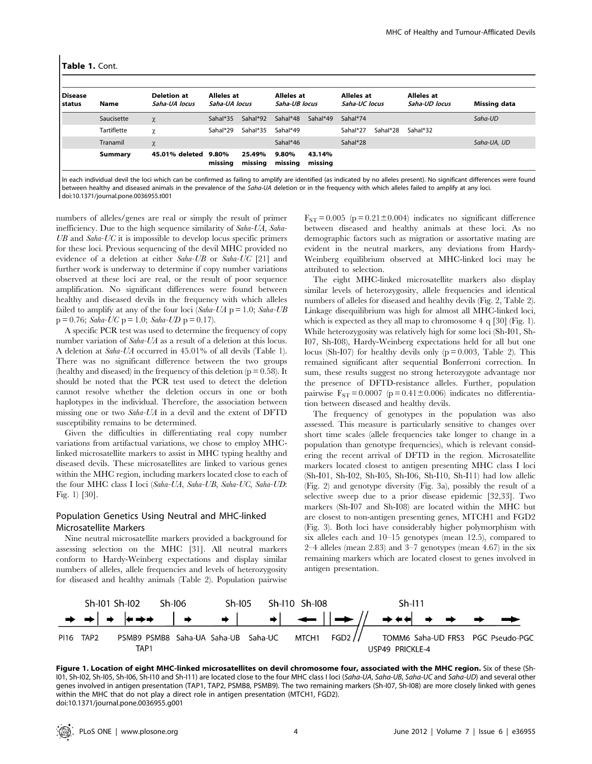#### Table 1. Cont.

| <b>Disease</b><br>status | <b>Name</b><br>Saucisette | <b>Deletion at</b><br>Saha-UA locus<br>$\chi$ | Alleles at<br>Saha-UA locus |                   | Alleles at<br>Saha-UB locus |                   | Alleles at<br>Saha-UC locus |          | Alleles at<br>Saha-UD locus | <b>Missing data</b> |
|--------------------------|---------------------------|-----------------------------------------------|-----------------------------|-------------------|-----------------------------|-------------------|-----------------------------|----------|-----------------------------|---------------------|
|                          |                           |                                               | Sahal*35                    | Sahal*92          | Sahal*48                    | Sahal*49          | Sahal*74                    |          |                             | Saha-UD             |
|                          | <b>Tartiflette</b>        | χ                                             | Sahal*29                    | Sahal*35          | Sahal*49                    |                   | Sahal*27                    | Sahal*28 | Sahal*32                    |                     |
|                          | Tranamil                  | χ                                             |                             |                   | Sahal*46                    |                   | Sahal*28                    |          |                             | Saha-UA, UD         |
|                          | Summary                   | 45.01% deleted                                | 9.80%<br>missing            | 25.49%<br>missing | 9.80%<br>missing            | 43.14%<br>missing |                             |          |                             |                     |

In each individual devil the loci which can be confirmed as failing to amplify are identified (as indicated by no alleles present). No significant differences were found between healthy and diseased animals in the prevalence of the Saha-UA deletion or in the frequency with which alleles failed to amplify at any loci. doi:10.1371/journal.pone.0036955.t001

numbers of alleles/genes are real or simply the result of primer inefficiency. Due to the high sequence similarity of Saha-UA, Saha- $UB$  and  $Saha-UC$  it is impossible to develop locus specific primers for these loci. Previous sequencing of the devil MHC provided no evidence of a deletion at either Saha-UB or Saha-UC [21] and further work is underway to determine if copy number variations observed at these loci are real, or the result of poor sequence amplification. No significant differences were found between healthy and diseased devils in the frequency with which alleles failed to amplify at any of the four loci (Saha-UA  $p = 1.0$ ; Saha-UB  $p = 0.76$ ; Saha-UC  $p = 1.0$ ; Saha-UD  $p = 0.17$ ).

A specific PCR test was used to determine the frequency of copy number variation of Saha-UA as a result of a deletion at this locus. A deletion at Saha-UA occurred in 45.01% of all devils (Table 1). There was no significant difference between the two groups (healthy and diseased) in the frequency of this deletion ( $p = 0.58$ ). It should be noted that the PCR test used to detect the deletion cannot resolve whether the deletion occurs in one or both haplotypes in the individual. Therefore, the association between missing one or two Saha-UA in a devil and the extent of DFTD susceptibility remains to be determined.

Given the difficulties in differentiating real copy number variations from artifactual variations, we chose to employ MHClinked microsatellite markers to assist in MHC typing healthy and diseased devils. These microsatellites are linked to various genes within the MHC region, including markers located close to each of the four MHC class I loci (Saha-UA, Saha-UB, Saha-UC, Saha-UD: Fig. 1) [30].

# Population Genetics Using Neutral and MHC-linked Microsatellite Markers

Nine neutral microsatellite markers provided a background for assessing selection on the MHC [31]. All neutral markers conform to Hardy-Weinberg expectations and display similar numbers of alleles, allele frequencies and levels of heterozygosity for diseased and healthy animals (Table 2). Population pairwise

 $F_{ST} = 0.005$  (p = 0.21±0.004) indicates no significant difference between diseased and healthy animals at these loci. As no demographic factors such as migration or assortative mating are evident in the neutral markers, any deviations from Hardy-Weinberg equilibrium observed at MHC-linked loci may be attributed to selection.

The eight MHC-linked microsatellite markers also display similar levels of heterozygosity, allele frequencies and identical numbers of alleles for diseased and healthy devils (Fig. 2, Table 2). Linkage disequilibrium was high for almost all MHC-linked loci, which is expected as they all map to chromosome 4 q [30] (Fig. 1). While heterozygosity was relatively high for some loci (Sh-I01, Sh-I07, Sh-I08), Hardy-Weinberg expectations held for all but one locus (Sh-I07) for healthy devils only  $(p = 0.003,$  Table 2). This remained significant after sequential Bonferroni correction. In sum, these results suggest no strong heterozygote advantage nor the presence of DFTD-resistance alleles. Further, population pairwise  $F_{ST} = 0.0007$  (p = 0.41±0.006) indicates no differentiation between diseased and healthy devils.

The frequency of genotypes in the population was also assessed. This measure is particularly sensitive to changes over short time scales (allele frequencies take longer to change in a population than genotype frequencies), which is relevant considering the recent arrival of DFTD in the region. Microsatellite markers located closest to antigen presenting MHC class I loci (Sh-I01, Sh-I02, Sh-I05, Sh-I06, Sh-I10, Sh-I11) had low allelic (Fig. 2) and genotype diversity (Fig. 3a), possibly the result of a selective sweep due to a prior disease epidemic [32,33]. Two markers (Sh-I07 and Sh-I08) are located within the MHC but are closest to non-antigen presenting genes, MTCH1 and FGD2 (Fig. 3). Both loci have considerably higher polymorphism with six alleles each and 10–15 genotypes (mean 12.5), compared to 2–4 alleles (mean 2.83) and 3–7 genotypes (mean 4.67) in the six remaining markers which are located closest to genes involved in antigen presentation.



Figure 1. Location of eight MHC-linked microsatellites on devil chromosome four, associated with the MHC region. Six of these (Sh-I01, Sh-I02, Sh-I05, Sh-I06, Sh-I10 and Sh-I11) are located close to the four MHC class I loci (Saha-UA, Saha-UB, Saha-UC and Saha-UD) and several other genes involved in antigen presentation (TAP1, TAP2, PSMB8, PSMB9). The two remaining markers (Sh-I07, Sh-I08) are more closely linked with genes within the MHC that do not play a direct role in antigen presentation (MTCH1, FGD2). doi:10.1371/journal.pone.0036955.g001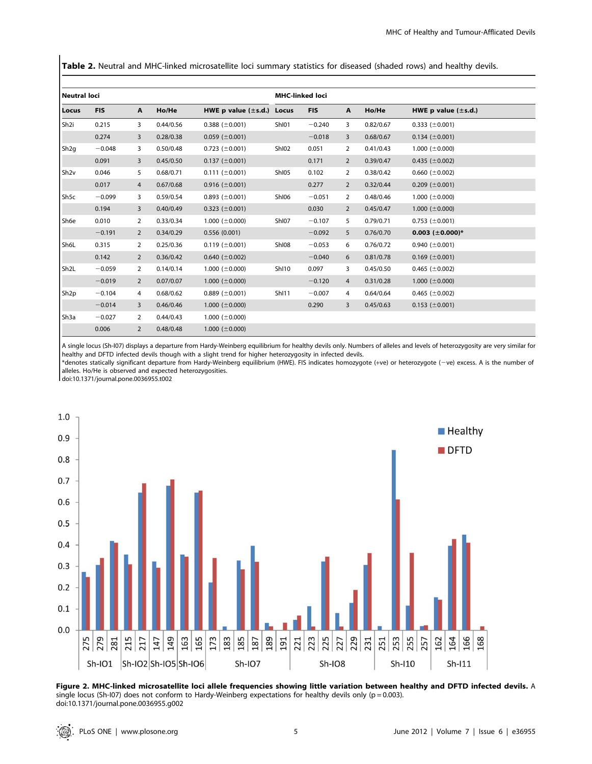Table 2. Neutral and MHC-linked microsatellite loci summary statistics for diseased (shaded rows) and healthy devils.

| l Neutral loci    |            |                |           |                                |              | <b>MHC-linked loci</b> |                |           |                          |  |  |  |
|-------------------|------------|----------------|-----------|--------------------------------|--------------|------------------------|----------------|-----------|--------------------------|--|--|--|
| l Locus           | <b>FIS</b> | $\mathbf{A}$   | Ho/He     | HWE p value $(\pm s.d.)$ Locus |              | <b>FIS</b>             | $\mathbf{A}$   | Ho/He     | HWE p value $(\pm s.d.)$ |  |  |  |
| Sh <sub>2i</sub>  | 0.215      | 3              | 0.44/0.56 | 0.388 ( $\pm$ 0.001)           | ShI01        | $-0.240$               | 3              | 0.82/0.67 | 0.333 $(\pm 0.001)$      |  |  |  |
|                   | 0.274      | 3              | 0.28/0.38 | $0.059$ ( $\pm$ 0.001)         |              | $-0.018$               | 3              | 0.68/0.67 | $0.134 \ (\pm 0.001)$    |  |  |  |
| Sh <sub>2g</sub>  | $-0.048$   | 3              | 0.50/0.48 | 0.723 ( $\pm$ 0.001)           | ShI02        | 0.051                  | 2              | 0.41/0.43 | 1.000 ( $\pm$ 0.000)     |  |  |  |
|                   | 0.091      | 3              | 0.45/0.50 | 0.137 ( $\pm$ 0.001)           |              | 0.171                  | $\overline{2}$ | 0.39/0.47 | 0.435 ( $\pm$ 0.002)     |  |  |  |
| Sh <sub>2v</sub>  | 0.046      | 5              | 0.68/0.71 | $0.111 (\pm 0.001)$            | ShI05        | 0.102                  | 2              | 0.38/0.42 | 0.660 ( $\pm$ 0.002)     |  |  |  |
|                   | 0.017      | $\overline{4}$ | 0.67/0.68 | 0.916 ( $\pm$ 0.001)           |              | 0.277                  | $\overline{2}$ | 0.32/0.44 | 0.209 ( $\pm$ 0.001)     |  |  |  |
| Sh <sub>5c</sub>  | $-0.099$   | 3              | 0.59/0.54 | 0.893 ( $\pm$ 0.001)           | ShI06        | $-0.051$               | 2              | 0.48/0.46 | 1.000 ( $\pm$ 0.000)     |  |  |  |
|                   | 0.194      | 3              | 0.40/0.49 | 0.323 ( $\pm$ 0.001)           |              | 0.030                  | $\overline{2}$ | 0.45/0.47 | 1.000 ( $\pm$ 0.000)     |  |  |  |
| Sh6e              | 0.010      | 2              | 0.33/0.34 | 1.000 ( $\pm$ 0.000)           | ShI07        | $-0.107$               | 5              | 0.79/0.71 | 0.753 ( $\pm$ 0.001)     |  |  |  |
|                   | $-0.191$   | $\overline{2}$ | 0.34/0.29 | 0.556(0.001)                   |              | $-0.092$               | 5              | 0.76/0.70 | $0.003$ (±0.000)*        |  |  |  |
| Sh6L              | 0.315      | $\overline{2}$ | 0.25/0.36 | $0.119 \ (\pm 0.001)$          | ShI08        | $-0.053$               | 6              | 0.76/0.72 | 0.940 $(\pm 0.001)$      |  |  |  |
|                   | 0.142      | $\overline{2}$ | 0.36/0.42 | 0.640 ( $\pm$ 0.002)           |              | $-0.040$               | 6              | 0.81/0.78 | $0.169 \ (\pm 0.001)$    |  |  |  |
| Sh <sub>2</sub> L | $-0.059$   | 2              | 0.14/0.14 | 1.000 ( $\pm$ 0.000)           | ShI10        | 0.097                  | 3              | 0.45/0.50 | 0.465 ( $\pm$ 0.002)     |  |  |  |
|                   | $-0.019$   | $\overline{2}$ | 0.07/0.07 | 1.000 ( $\pm$ 0.000)           |              | $-0.120$               | 4              | 0.31/0.28 | 1.000 ( $\pm$ 0.000)     |  |  |  |
| Sh <sub>2p</sub>  | $-0.104$   | 4              | 0.68/0.62 | 0.889 ( $\pm$ 0.001)           | <b>ShI11</b> | $-0.007$               | 4              | 0.64/0.64 | 0.465 ( $\pm$ 0.002)     |  |  |  |
|                   | $-0.014$   | 3              | 0.46/0.46 | 1.000 $(\pm 0.000)$            |              | 0.290                  | 3              | 0.45/0.63 | $0.153 \ (\pm 0.001)$    |  |  |  |
| Sh <sub>3a</sub>  | $-0.027$   | 2              | 0.44/0.43 | 1.000 ( $\pm$ 0.000)           |              |                        |                |           |                          |  |  |  |
|                   | 0.006      | $\overline{2}$ | 0.48/0.48 | 1.000 ( $\pm$ 0.000)           |              |                        |                |           |                          |  |  |  |

A single locus (Sh-I07) displays a departure from Hardy-Weinberg equilibrium for healthy devils only. Numbers of alleles and levels of heterozygosity are very similar for healthy and DFTD infected devils though with a slight trend for higher heterozygosity in infected devils.

\*denotes statically significant departure from Hardy-Weinberg equilibrium (HWE). FIS indicates homozygote (+ve) or heterozygote (2ve) excess. A is the number of alleles. Ho/He is observed and expected heterozygosities.

doi:10.1371/journal.pone.0036955.t002



Figure 2. MHC-linked microsatellite loci allele frequencies showing little variation between healthy and DFTD infected devils. A single locus (Sh-I07) does not conform to Hardy-Weinberg expectations for healthy devils only ( $p = 0.003$ ). doi:10.1371/journal.pone.0036955.g002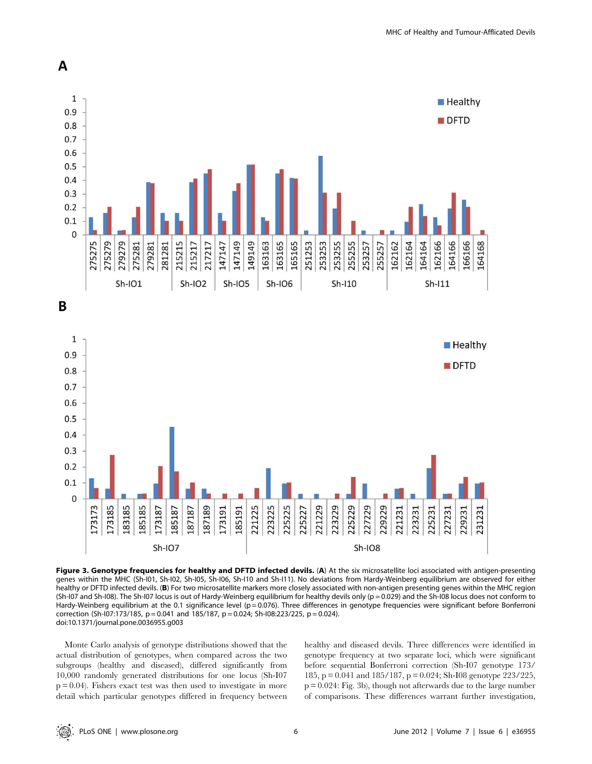



Figure 3. Genotype frequencies for healthy and DFTD infected devils. (A) At the six microsatellite loci associated with antigen-presenting genes within the MHC (Sh-I01, Sh-I02, Sh-I05, Sh-I06, Sh-I10 and Sh-I11). No deviations from Hardy-Weinberg equilibrium are observed for either healthy or DFTD infected devils. (B) For two microsatellite markers more closely associated with non-antigen presenting genes within the MHC region (Sh-I07 and Sh-I08). The Sh-I07 locus is out of Hardy-Weinberg equilibrium for healthy devils only (p = 0.029) and the Sh-I08 locus does not conform to Hardy-Weinberg equilibrium at the 0.1 significance level (p = 0.076). Three differences in genotype frequencies were significant before Bonferroni correction (Sh-I07:173/185,  $p = 0.041$  and 185/187,  $p = 0.024$ ; Sh-I08:223/225,  $p = 0.024$ ). doi:10.1371/journal.pone.0036955.g003

Monte Carlo analysis of genotype distributions showed that the actual distribution of genotypes, when compared across the two subgroups (healthy and diseased), differed significantly from 10,000 randomly generated distributions for one locus (Sh-I07  $p = 0.04$ ). Fishers exact test was then used to investigate in more detail which particular genotypes differed in frequency between healthy and diseased devils. Three differences were identified in genotype frequency at two separate loci, which were significant before sequential Bonferroni correction (Sh-I07 genotype 173/ 185, p = 0.041 and 185/187, p = 0.024; Sh-I08 genotype 223/225, p = 0.024: Fig. 3b), though not afterwards due to the large number of comparisons. These differences warrant further investigation,

A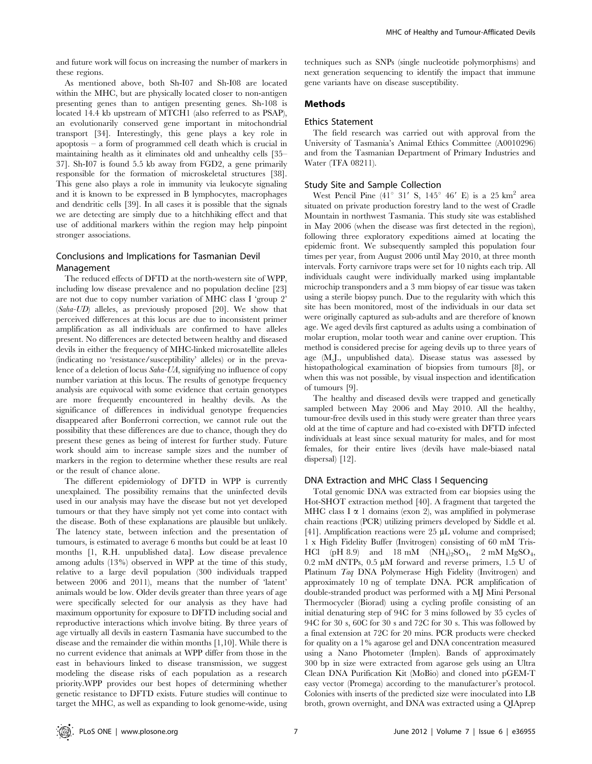and future work will focus on increasing the number of markers in these regions.

As mentioned above, both Sh-I07 and Sh-I08 are located within the MHC, but are physically located closer to non-antigen presenting genes than to antigen presenting genes. Sh-108 is located 14.4 kb upstream of MTCH1 (also referred to as PSAP), an evolutionarily conserved gene important in mitochondrial transport [34]. Interestingly, this gene plays a key role in apoptosis – a form of programmed cell death which is crucial in maintaining health as it eliminates old and unhealthy cells [35– 37]. Sh-I07 is found 5.5 kb away from FGD2, a gene primarily responsible for the formation of microskeletal structures [38]. This gene also plays a role in immunity via leukocyte signaling and it is known to be expressed in B lymphocytes, macrophages and dendritic cells [39]. In all cases it is possible that the signals we are detecting are simply due to a hitchhiking effect and that use of additional markers within the region may help pinpoint stronger associations.

# Conclusions and Implications for Tasmanian Devil Management

The reduced effects of DFTD at the north-western site of WPP, including low disease prevalence and no population decline [23] are not due to copy number variation of MHC class I 'group 2' (Saha-UD) alleles, as previously proposed [20]. We show that perceived differences at this locus are due to inconsistent primer amplification as all individuals are confirmed to have alleles present. No differences are detected between healthy and diseased devils in either the frequency of MHC-linked microsatellite alleles (indicating no 'resistance/susceptibility' alleles) or in the prevalence of a deletion of locus Saha-UA, signifying no influence of copy number variation at this locus. The results of genotype frequency analysis are equivocal with some evidence that certain genotypes are more frequently encountered in healthy devils. As the significance of differences in individual genotype frequencies disappeared after Bonferroni correction, we cannot rule out the possibility that these differences are due to chance, though they do present these genes as being of interest for further study. Future work should aim to increase sample sizes and the number of markers in the region to determine whether these results are real or the result of chance alone.

The different epidemiology of DFTD in WPP is currently unexplained. The possibility remains that the uninfected devils used in our analysis may have the disease but not yet developed tumours or that they have simply not yet come into contact with the disease. Both of these explanations are plausible but unlikely. The latency state, between infection and the presentation of tumours, is estimated to average 6 months but could be at least 10 months [1, R.H. unpublished data]. Low disease prevalence among adults (13%) observed in WPP at the time of this study, relative to a large devil population (300 individuals trapped between 2006 and 2011), means that the number of 'latent' animals would be low. Older devils greater than three years of age were specifically selected for our analysis as they have had maximum opportunity for exposure to DFTD including social and reproductive interactions which involve biting. By three years of age virtually all devils in eastern Tasmania have succumbed to the disease and the remainder die within months [1,10]. While there is no current evidence that animals at WPP differ from those in the east in behaviours linked to disease transmission, we suggest modeling the disease risks of each population as a research priority.WPP provides our best hopes of determining whether genetic resistance to DFTD exists. Future studies will continue to target the MHC, as well as expanding to look genome-wide, using techniques such as SNPs (single nucleotide polymorphisms) and next generation sequencing to identify the impact that immune gene variants have on disease susceptibility.

# Methods

#### Ethics Statement

The field research was carried out with approval from the University of Tasmania's Animal Ethics Committee (A0010296) and from the Tasmanian Department of Primary Industries and Water (TFA 08211).

#### Study Site and Sample Collection

West Pencil Pine  $(41^{\circ}$  31' S,  $145^{\circ}$  46' E) is a 25 km<sup>2</sup> area situated on private production forestry land to the west of Cradle Mountain in northwest Tasmania. This study site was established in May 2006 (when the disease was first detected in the region), following three exploratory expeditions aimed at locating the epidemic front. We subsequently sampled this population four times per year, from August 2006 until May 2010, at three month intervals. Forty carnivore traps were set for 10 nights each trip. All individuals caught were individually marked using implantable microchip transponders and a 3 mm biopsy of ear tissue was taken using a sterile biopsy punch. Due to the regularity with which this site has been monitored, most of the individuals in our data set were originally captured as sub-adults and are therefore of known age. We aged devils first captured as adults using a combination of molar eruption, molar tooth wear and canine over eruption. This method is considered precise for ageing devils up to three years of age (M.J., unpublished data). Disease status was assessed by histopathological examination of biopsies from tumours [8], or when this was not possible, by visual inspection and identification of tumours [9].

The healthy and diseased devils were trapped and genetically sampled between May 2006 and May 2010. All the healthy, tumour-free devils used in this study were greater than three years old at the time of capture and had co-existed with DFTD infected individuals at least since sexual maturity for males, and for most females, for their entire lives (devils have male-biased natal dispersal) [12].

#### DNA Extraction and MHC Class I Sequencing

Total genomic DNA was extracted from ear biopsies using the Hot-SHOT extraction method [40]. A fragment that targeted the MHC class I  $\alpha$  1 domains (exon 2), was amplified in polymerase chain reactions (PCR) utilizing primers developed by Siddle et al. [41]. Amplification reactions were  $25 \mu L$  volume and comprised; 1 x High Fidelity Buffer (Invitrogen) consisting of 60 mM Tris-HCl (pH 8.9) and 18 mM (NH<sub>4</sub>)<sub>2</sub>SO<sub>4</sub>, 2 mM MgSO<sub>4</sub>, 0.2 mM dNTPs,  $0.5 \mu M$  forward and reverse primers,  $1.5 U$  of Platinum Taq DNA Polymerase High Fidelity (Invitrogen) and approximately 10 ng of template DNA. PCR amplification of double-stranded product was performed with a MJ Mini Personal Thermocycler (Biorad) using a cycling profile consisting of an initial denaturing step of 94C for 3 mins followed by 35 cycles of 94C for 30 s, 60C for 30 s and 72C for 30 s. This was followed by a final extension at 72C for 20 mins. PCR products were checked for quality on a 1% agarose gel and DNA concentration measured using a Nano Photometer (Implen). Bands of approximately 300 bp in size were extracted from agarose gels using an Ultra Clean DNA Purification Kit (MoBio) and cloned into pGEM-T easy vector (Promega) according to the manufacturer's protocol. Colonies with inserts of the predicted size were inoculated into LB broth, grown overnight, and DNA was extracted using a QIAprep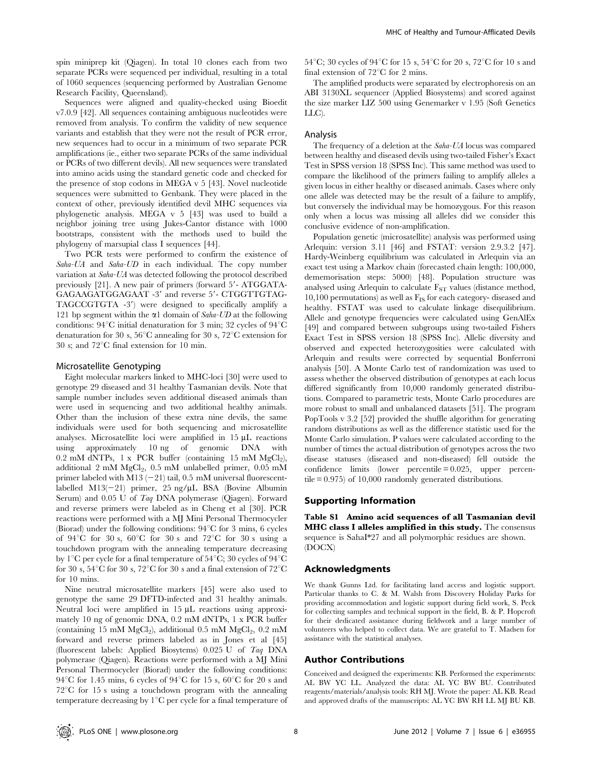spin miniprep kit (Qiagen). In total 10 clones each from two separate PCRs were sequenced per individual, resulting in a total of 1060 sequences (sequencing performed by Australian Genome Research Facility, Queensland).

Sequences were aligned and quality-checked using Bioedit v7.0.9 [42]. All sequences containing ambiguous nucleotides were removed from analysis. To confirm the validity of new sequence variants and establish that they were not the result of PCR error, new sequences had to occur in a minimum of two separate PCR amplifications (ie., either two separate PCRs of the same individual or PCRs of two different devils). All new sequences were translated into amino acids using the standard genetic code and checked for the presence of stop codons in MEGA v 5 [43]. Novel nucleotide sequences were submitted to Genbank. They were placed in the context of other, previously identified devil MHC sequences via phylogenetic analysis. MEGA v 5 [43] was used to build a neighbor joining tree using Jukes-Cantor distance with 1000 bootstraps, consistent with the methods used to build the phylogeny of marsupial class I sequences [44].

Two PCR tests were performed to confirm the existence of Saha-UA and Saha-UD in each individual. The copy number variation at Saha-UA was detected following the protocol described previously  $[21]$ . A new pair of primers (forward  $5'$ - ATGGATA-GAGAAGATGGAGAAT -3' and reverse 5'- CTGGTTGTAG-TAGCCGTGTA -3') were designed to specifically amplify a 121 bp segment within the  $\alpha$ 1 domain of Saha-UD at the following conditions:  $94^{\circ}$ C initial denaturation for 3 min; 32 cycles of  $94^{\circ}$ C denaturation for 30 s,  $56^{\circ}$ C annealing for 30 s,  $72^{\circ}$ C extension for 30 s; and  $72^{\circ}$ C final extension for 10 min.

#### Microsatellite Genotyping

Eight molecular markers linked to MHC-loci [30] were used to genotype 29 diseased and 31 healthy Tasmanian devils. Note that sample number includes seven additional diseased animals than were used in sequencing and two additional healthy animals. Other than the inclusion of these extra nine devils, the same individuals were used for both sequencing and microsatellite analyses. Microsatellite loci were amplified in  $15 \mu L$  reactions using approximately 10 ng of genomic DNA with 0.2 mM dNTPs, 1 x PCR buffer (containing 15 mM  $MgCl<sub>2</sub>$ ), additional 2 mM  $MgCl<sub>2</sub>$ , 0.5 mM unlabelled primer, 0.05 mM primer labeled with M13  $(-21)$  tail, 0.5 mM universal fluorescentlabelled M13 $(-21)$  primer, 25 ng/ $\mu$ L BSA (Bovine Albumin Serum) and 0.05 U of Taq DNA polymerase (Qiagen). Forward and reverse primers were labeled as in Cheng et al [30]. PCR reactions were performed with a MJ Mini Personal Thermocycler (Biorad) under the following conditions:  $94^{\circ}$ C for 3 mins, 6 cycles of 94 $\mathrm{C}$  for 30 s, 60 $\mathrm{C}$  for 30 s and 72 $\mathrm{C}$  for 30 s using a touchdown program with the annealing temperature decreasing by  $1^{\circ}$ C per cycle for a final temperature of  $54^{\circ}$ C; 30 cycles of  $94^{\circ}$ C for 30 s,  $54^{\circ}$ C for 30 s,  $72^{\circ}$ C for 30 s and a final extension of  $72^{\circ}$ C for 10 mins.

Nine neutral microsatellite markers [45] were also used to genotype the same 29 DFTD-infected and 31 healthy animals. Neutral loci were amplified in 15  $\mu$ L reactions using approximately 10 ng of genomic DNA, 0.2 mM dNTPs, 1 x PCR buffer (containing 15 mM  $MgCl<sub>2</sub>$ ), additional 0.5 mM  $MgCl<sub>2</sub>$ , 0.2 mM forward and reverse primers labeled as in Jones et al [45] (fluorescent labels: Applied Biosytems) 0.025 U of Taq DNA polymerase (Qiagen). Reactions were performed with a MJ Mini Personal Thermocycler (Biorad) under the following conditions: 94 $\rm ^{\circ}C$  for 1.45 mins, 6 cycles of 94 $\rm ^{\circ}C$  for 15 s, 60 $\rm ^{\circ}C$  for 20 s and  $72^{\circ}$ C for 15 s using a touchdown program with the annealing temperature decreasing by  $1^{\circ}C$  per cycle for a final temperature of 54°C; 30 cycles of 94°C for 15 s, 54°C for 20 s, 72°C for 10 s and final extension of  $72^{\circ}$ C for 2 mins.

The amplified products were separated by electrophoresis on an ABI 3130XL sequencer (Applied Biosystems) and scored against the size marker LIZ 500 using Genemarker v 1.95 (Soft Genetics LLC).

#### Analysis

The frequency of a deletion at the Saha-UA locus was compared between healthy and diseased devils using two-tailed Fisher's Exact Test in SPSS version 18 (SPSS Inc). This same method was used to compare the likelihood of the primers failing to amplify alleles a given locus in either healthy or diseased animals. Cases where only one allele was detected may be the result of a failure to amplify, but conversely the individual may be homozygous. For this reason only when a locus was missing all alleles did we consider this conclusive evidence of non-amplification.

Population genetic (microsatellite) analysis was performed using Arlequin: version 3.11 [46] and FSTAT: version 2.9.3.2 [47]. Hardy-Weinberg equilibrium was calculated in Arlequin via an exact test using a Markov chain (forecasted chain length: 100,000, dememorisation steps: 5000) [48]. Population structure was analysed using Arlequin to calculate  $F_{ST}$  values (distance method,  $10,100$  permutations) as well as  $F_{IS}$  for each category- diseased and healthy. FSTAT was used to calculate linkage disequilibrium. Allele and genotype frequencies were calculated using GenAlEx [49] and compared between subgroups using two-tailed Fishers Exact Test in SPSS version 18 (SPSS Inc). Allelic diversity and observed and expected heterozygosities were calculated with Arlequin and results were corrected by sequential Bonferroni analysis [50]. A Monte Carlo test of randomization was used to assess whether the observed distribution of genotypes at each locus differed significantly from 10,000 randomly generated distributions. Compared to parametric tests, Monte Carlo procedures are more robust to small and unbalanced datasets [51]. The program PopTools v 3.2 [52] provided the shuffle algorithm for generating random distributions as well as the difference statistic used for the Monte Carlo simulation. P values were calculated according to the number of times the actual distribution of genotypes across the two disease statuses (diseased and non-diseased) fell outside the confidence limits (lower percentile = 0.025, upper percentile = 0.975) of 10,000 randomly generated distributions.

#### Supporting Information

Table S1 Amino acid sequences of all Tasmanian devil MHC class I alleles amplified in this study. The consensus sequence is SahaI\*27 and all polymorphic residues are shown. (DOCX)

#### Acknowledgments

We thank Gunns Ltd. for facilitating land access and logistic support. Particular thanks to C. & M. Walsh from Discovery Holiday Parks for providing accommodation and logistic support during field work, S. Peck for collecting samples and technical support in the field, B. & P. Hopcroft for their dedicated assistance during fieldwork and a large number of volunteers who helped to collect data. We are grateful to T. Madsen for assistance with the statistical analyses.

# Author Contributions

Conceived and designed the experiments: KB. Performed the experiments: AL BW YC LL. Analyzed the data: AL YC BW BU. Contributed reagents/materials/analysis tools: RH MJ. Wrote the paper: AL KB. Read and approved drafts of the manuscripts: AL YC BW RH LL MJ BU KB.